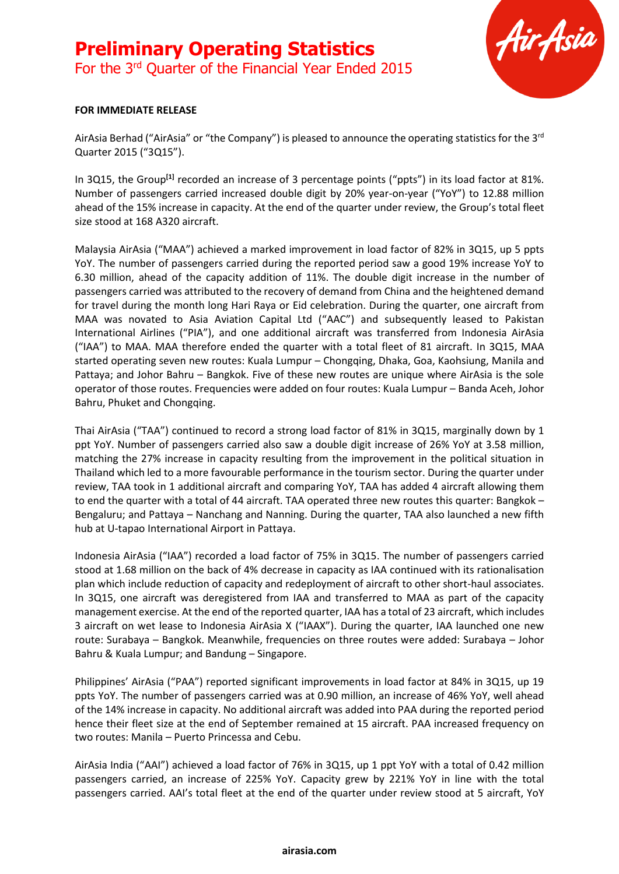# **Preliminary Operating Statistics** For the 3rd Quarter of the Financial Year Ended 2015



#### **FOR IMMEDIATE RELEASE**

AirAsia Berhad ("AirAsia" or "the Company") is pleased to announce the operating statistics for the 3<sup>rd</sup> Quarter 2015 ("3Q15").

In 3Q15, the Group<sup>[1]</sup> recorded an increase of 3 percentage points ("ppts") in its load factor at 81%. Number of passengers carried increased double digit by 20% year-on-year ("YoY") to 12.88 million ahead of the 15% increase in capacity. At the end of the quarter under review, the Group's total fleet size stood at 168 A320 aircraft.

Malaysia AirAsia ("MAA") achieved a marked improvement in load factor of 82% in 3Q15, up 5 ppts YoY. The number of passengers carried during the reported period saw a good 19% increase YoY to 6.30 million, ahead of the capacity addition of 11%. The double digit increase in the number of passengers carried was attributed to the recovery of demand from China and the heightened demand for travel during the month long Hari Raya or Eid celebration. During the quarter, one aircraft from MAA was novated to Asia Aviation Capital Ltd ("AAC") and subsequently leased to Pakistan International Airlines ("PIA"), and one additional aircraft was transferred from Indonesia AirAsia ("IAA") to MAA. MAA therefore ended the quarter with a total fleet of 81 aircraft. In 3Q15, MAA started operating seven new routes: Kuala Lumpur – Chongqing, Dhaka, Goa, Kaohsiung, Manila and Pattaya; and Johor Bahru – Bangkok. Five of these new routes are unique where AirAsia is the sole operator of those routes. Frequencies were added on four routes: Kuala Lumpur – Banda Aceh, Johor Bahru, Phuket and Chongqing.

Thai AirAsia ("TAA") continued to record a strong load factor of 81% in 3Q15, marginally down by 1 ppt YoY. Number of passengers carried also saw a double digit increase of 26% YoY at 3.58 million, matching the 27% increase in capacity resulting from the improvement in the political situation in Thailand which led to a more favourable performance in the tourism sector. During the quarter under review, TAA took in 1 additional aircraft and comparing YoY, TAA has added 4 aircraft allowing them to end the quarter with a total of 44 aircraft. TAA operated three new routes this quarter: Bangkok – Bengaluru; and Pattaya – Nanchang and Nanning. During the quarter, TAA also launched a new fifth hub at U-tapao International Airport in Pattaya.

Indonesia AirAsia ("IAA") recorded a load factor of 75% in 3Q15. The number of passengers carried stood at 1.68 million on the back of 4% decrease in capacity as IAA continued with its rationalisation plan which include reduction of capacity and redeployment of aircraft to other short-haul associates. In 3Q15, one aircraft was deregistered from IAA and transferred to MAA as part of the capacity management exercise. At the end of the reported quarter, IAA has a total of 23 aircraft, which includes 3 aircraft on wet lease to Indonesia AirAsia X ("IAAX"). During the quarter, IAA launched one new route: Surabaya – Bangkok. Meanwhile, frequencies on three routes were added: Surabaya – Johor Bahru & Kuala Lumpur; and Bandung – Singapore.

Philippines' AirAsia ("PAA") reported significant improvements in load factor at 84% in 3Q15, up 19 ppts YoY. The number of passengers carried was at 0.90 million, an increase of 46% YoY, well ahead of the 14% increase in capacity. No additional aircraft was added into PAA during the reported period hence their fleet size at the end of September remained at 15 aircraft. PAA increased frequency on two routes: Manila – Puerto Princessa and Cebu.

AirAsia India ("AAI") achieved a load factor of 76% in 3Q15, up 1 ppt YoY with a total of 0.42 million passengers carried, an increase of 225% YoY. Capacity grew by 221% YoY in line with the total passengers carried. AAI's total fleet at the end of the quarter under review stood at 5 aircraft, YoY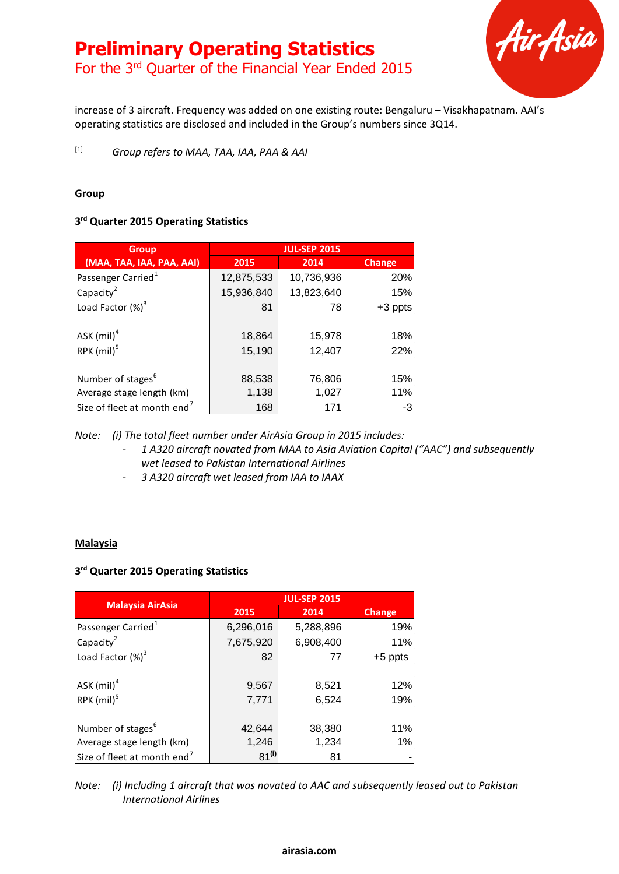

increase of 3 aircraft. Frequency was added on one existing route: Bengaluru – Visakhapatnam. AAI's operating statistics are disclosed and included in the Group's numbers since 3Q14.

[1] *Group refers to MAA, TAA, IAA, PAA & AAI*

### **Group**

## **3 rd Quarter 2015 Operating Statistics**

| <b>Group</b>                            | <b>JUL-SEP 2015</b> |            |               |
|-----------------------------------------|---------------------|------------|---------------|
| (MAA, TAA, IAA, PAA, AAI)               | 2015                | 2014       | <b>Change</b> |
| Passenger Carried <sup>1</sup>          | 12,875,533          | 10,736,936 | 20%           |
| Capacity <sup>2</sup>                   | 15,936,840          | 13,823,640 | 15%           |
| Load Factor $(\%)^3$                    | 81                  | 78         | $+3$ ppts     |
|                                         |                     |            |               |
| $ASK$ (mil) <sup>4</sup>                | 18,864              | 15,978     | 18%           |
| RPK (mil) <sup>5</sup>                  | 15,190              | 12,407     | 22%           |
|                                         |                     |            |               |
| Number of stages <sup>b</sup>           | 88,538              | 76,806     | 15%           |
| Average stage length (km)               | 1,138               | 1,027      | 11%           |
| Size of fleet at month end <sup>7</sup> | 168                 | 171        | -3            |

*Note: (i) The total fleet number under AirAsia Group in 2015 includes:*

- *1 A320 aircraft novated from MAA to Asia Aviation Capital ("AAC") and subsequently wet leased to Pakistan International Airlines*
- *3 A320 aircraft wet leased from IAA to IAAX*

#### **Malaysia**

#### **3 rd Quarter 2015 Operating Statistics**

|                                         | <b>JUL-SEP 2015</b> |           |           |  |
|-----------------------------------------|---------------------|-----------|-----------|--|
| <b>Malaysia AirAsia</b>                 | 2015                | 2014      | Change    |  |
| Passenger Carried <sup>1</sup>          | 6,296,016           | 5,288,896 | 19%       |  |
| Capacity $2$                            | 7,675,920           | 6,908,400 | 11%       |  |
| Load Factor $(\%)^3$                    | 82                  | 77        | $+5$ ppts |  |
| ASK (mil) <sup>4</sup>                  | 9,567               | 8,521     | 12%       |  |
| RPK (mil) <sup>5</sup>                  | 7,771               | 6,524     | 19%       |  |
| Number of stages <sup>6</sup>           | 42,644              | 38,380    | 11%       |  |
| Average stage length (km)               | 1,246               | 1,234     | 1%        |  |
| Size of fleet at month end <sup>7</sup> | $81^{(i)}$          | 81        |           |  |

*Note: (i) Including 1 aircraft that was novated to AAC and subsequently leased out to Pakistan International Airlines*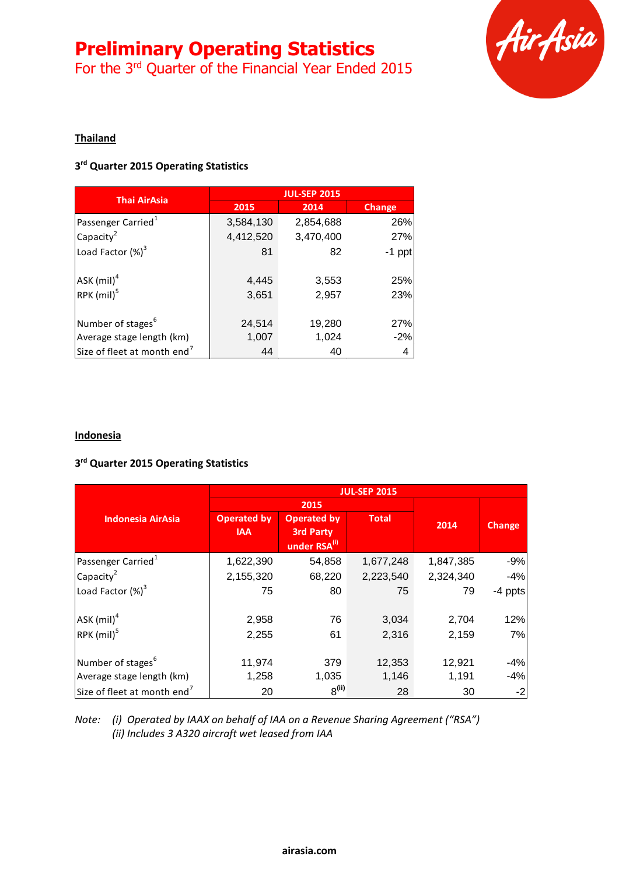# **Preliminary Operating Statistics**

For the 3rd Quarter of the Financial Year Ended 2015



### **Thailand**

#### **3 rd Quarter 2015 Operating Statistics**

| <b>Thai AirAsia</b>                                | <b>JUL-SEP 2015</b> |                |               |  |
|----------------------------------------------------|---------------------|----------------|---------------|--|
|                                                    | 2015                | 2014           | <b>Change</b> |  |
| Passenger Carried <sup>1</sup>                     | 3,584,130           | 2,854,688      | 26%           |  |
| Capacity $2$                                       | 4,412,520           | 3,470,400      | 27%           |  |
| Load Factor (%) <sup>3</sup>                       | 81                  | 82             | $-1$ ppt      |  |
| $ASK$ (mil) <sup>4</sup><br>RPK (mil) <sup>5</sup> | 4,445<br>3,651      | 3,553<br>2,957 | 25%<br>23%    |  |
| Number of stages <sup>b</sup>                      | 24,514              | 19,280         | 27%           |  |
| Average stage length (km)                          | 1,007               | 1,024          | $-2%$         |  |
| Size of fleet at month end <sup>7</sup>            | 44                  | 40             | 4             |  |

#### **Indonesia**

## **3 rd Quarter 2015 Operating Statistics**

|                                         | <b>JUL-SEP 2015</b> |                          |              |           |               |
|-----------------------------------------|---------------------|--------------------------|--------------|-----------|---------------|
|                                         | 2015                |                          |              |           |               |
| <b>Indonesia AirAsia</b>                | <b>Operated by</b>  | <b>Operated by</b>       | <b>Total</b> |           |               |
|                                         | <b>IAA</b>          | <b>3rd Party</b>         |              | 2014      | <b>Change</b> |
|                                         |                     | under RSA <sup>(i)</sup> |              |           |               |
| Passenger Carried <sup>1</sup>          | 1,622,390           | 54,858                   | 1,677,248    | 1,847,385 | $-9%$         |
| Capacity <sup>2</sup>                   | 2,155,320           | 68,220                   | 2,223,540    | 2,324,340 | $-4%$         |
| Load Factor $(\%)^3$                    | 75                  | 80                       | 75           | 79        | -4 ppts       |
| $ASK$ (mil) <sup>4</sup>                | 2,958               | 76                       | 3,034        | 2,704     | 12%           |
| RPK (mil) <sup>5</sup>                  | 2,255               | 61                       | 2,316        | 2,159     | 7%            |
| Number of stages <sup>b</sup>           | 11,974              | 379                      | 12,353       | 12,921    | $-4%$         |
| Average stage length (km)               | 1,258               | 1,035                    | 1,146        | 1,191     | $-4%$         |
| Size of fleet at month end <sup>7</sup> | 20                  | 8 <sup>(ii)</sup>        | 28           | 30        | $-2$          |

*Note: (i) Operated by IAAX on behalf of IAA on a Revenue Sharing Agreement ("RSA") (ii) Includes 3 A320 aircraft wet leased from IAA*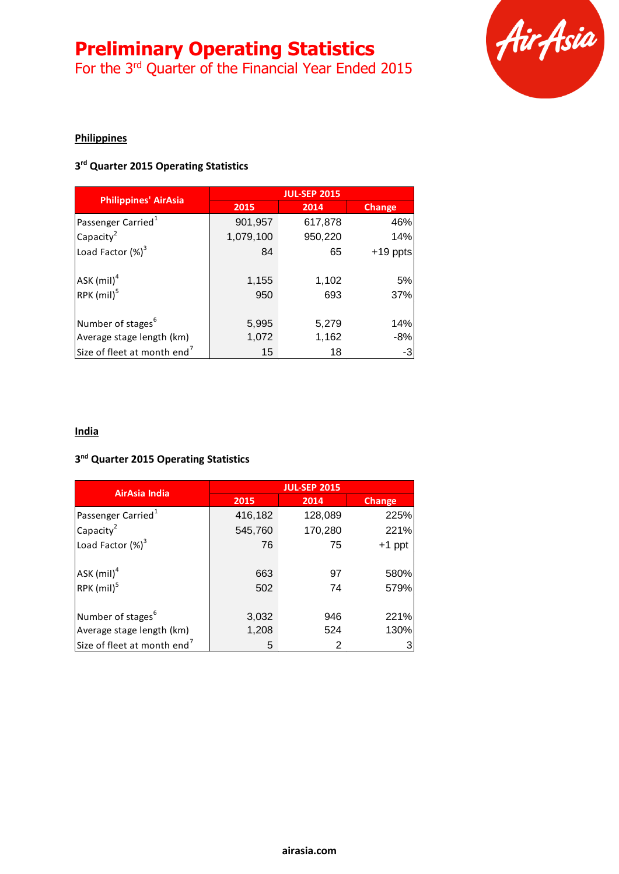# **Preliminary Operating Statistics**

For the 3<sup>rd</sup> Quarter of the Financial Year Ended 2015



# **Philippines**

#### **3 rd Quarter 2015 Operating Statistics**

|                                         | <b>JUL-SEP 2015</b> |         |               |  |
|-----------------------------------------|---------------------|---------|---------------|--|
| <b>Philippines' AirAsia</b>             | 2015                | 2014    | <b>Change</b> |  |
| Passenger Carried <sup>1</sup>          | 901,957             | 617,878 | 46%           |  |
| Capacity $2$                            | 1,079,100           | 950,220 | 14%           |  |
| Load Factor $(\%)^3$                    | 84                  | 65      | $+19$ ppts    |  |
| ASK (mil) <sup>4</sup>                  | 1,155               | 1,102   | 5%            |  |
| RPK (mil) <sup>5</sup>                  | 950                 | 693     | 37%           |  |
| Number of stages <sup>b</sup>           | 5,995               | 5,279   | 14%           |  |
| Average stage length (km)               | 1,072               | 1,162   | $-8%$         |  |
| Size of fleet at month end <sup>7</sup> | 15                  | 18      | $-3$          |  |

#### **India**

#### **3 nd Quarter 2015 Operating Statistics**

| <b>AirAsia India</b>                               | <b>JUL-SEP 2015</b> |          |              |  |
|----------------------------------------------------|---------------------|----------|--------------|--|
|                                                    | 2015                | 2014     | Change       |  |
| Passenger Carried <sup>1</sup>                     | 416,182             | 128,089  | 225%         |  |
| Capacity $2$                                       | 545,760             | 170,280  | 221%         |  |
| Load Factor (%) <sup>3</sup>                       | 76                  | 75       | $+1$ ppt     |  |
| $ASK$ (mil) <sup>4</sup><br>RPK (mil) <sup>5</sup> | 663<br>502          | 97<br>74 | 580%<br>579% |  |
| Number of stages <sup>6</sup>                      | 3,032               | 946      | 221%         |  |
| Average stage length (km)                          | 1,208               | 524      | 130%         |  |
| Size of fleet at month end <sup>7</sup>            | 5                   | 2        |              |  |